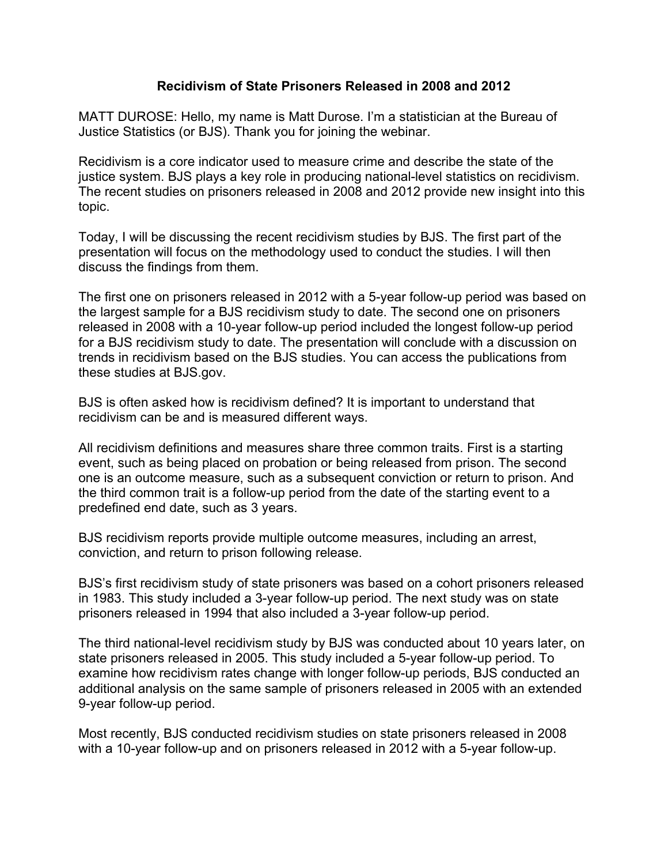## **Recidivism of State Prisoners Released in 2008 and 2012**

MATT DUROSE: Hello, my name is Matt Durose. I'm a statistician at the Bureau of Justice Statistics (or BJS). Thank you for joining the webinar.

Recidivism is a core indicator used to measure crime and describe the state of the justice system. BJS plays a key role in producing national-level statistics on recidivism. The recent studies on prisoners released in 2008 and 2012 provide new insight into this topic.

Today, I will be discussing the recent recidivism studies by BJS. The first part of the presentation will focus on the methodology used to conduct the studies. I will then discuss the findings from them.

The first one on prisoners released in 2012 with a 5-year follow-up period was based on the largest sample for a BJS recidivism study to date. The second one on prisoners released in 2008 with a 10-year follow-up period included the longest follow-up period for a BJS recidivism study to date. The presentation will conclude with a discussion on trends in recidivism based on the BJS studies. You can access the publications from these studies at BJS.gov.

BJS is often asked how is recidivism defined? It is important to understand that recidivism can be and is measured different ways.

All recidivism definitions and measures share three common traits. First is a starting event, such as being placed on probation or being released from prison. The second one is an outcome measure, such as a subsequent conviction or return to prison. And the third common trait is a follow-up period from the date of the starting event to a predefined end date, such as 3 years.

BJS recidivism reports provide multiple outcome measures, including an arrest, conviction, and return to prison following release.

BJS's first recidivism study of state prisoners was based on a cohort prisoners released in 1983. This study included a 3-year follow-up period. The next study was on state prisoners released in 1994 that also included a 3-year follow-up period.

The third national-level recidivism study by BJS was conducted about 10 years later, on state prisoners released in 2005. This study included a 5-year follow-up period. To examine how recidivism rates change with longer follow-up periods, BJS conducted an additional analysis on the same sample of prisoners released in 2005 with an extended 9-year follow-up period.

Most recently, BJS conducted recidivism studies on state prisoners released in 2008 with a 10-year follow-up and on prisoners released in 2012 with a 5-year follow-up.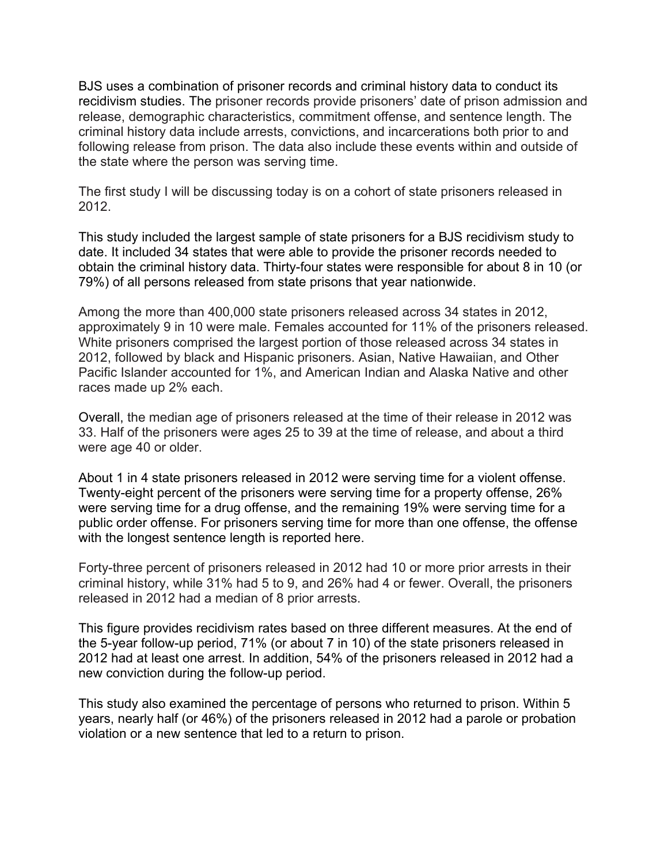BJS uses a combination of prisoner records and criminal history data to conduct its recidivism studies. The prisoner records provide prisoners' date of prison admission and release, demographic characteristics, commitment offense, and sentence length. The criminal history data include arrests, convictions, and incarcerations both prior to and following release from prison. The data also include these events within and outside of the state where the person was serving time.

The first study I will be discussing today is on a cohort of state prisoners released in 2012.

This study included the largest sample of state prisoners for a BJS recidivism study to date. It included 34 states that were able to provide the prisoner records needed to obtain the criminal history data. Thirty-four states were responsible for about 8 in 10 (or 79%) of all persons released from state prisons that year nationwide.

Among the more than 400,000 state prisoners released across 34 states in 2012, approximately 9 in 10 were male. Females accounted for 11% of the prisoners released. White prisoners comprised the largest portion of those released across 34 states in 2012, followed by black and Hispanic prisoners. Asian, Native Hawaiian, and Other Pacific Islander accounted for 1%, and American Indian and Alaska Native and other races made up 2% each.

Overall, the median age of prisoners released at the time of their release in 2012 was 33. Half of the prisoners were ages 25 to 39 at the time of release, and about a third were age 40 or older.

About 1 in 4 state prisoners released in 2012 were serving time for a violent offense. Twenty-eight percent of the prisoners were serving time for a property offense, 26% were serving time for a drug offense, and the remaining 19% were serving time for a public order offense. For prisoners serving time for more than one offense, the offense with the longest sentence length is reported here.

Forty-three percent of prisoners released in 2012 had 10 or more prior arrests in their criminal history, while 31% had 5 to 9, and 26% had 4 or fewer. Overall, the prisoners released in 2012 had a median of 8 prior arrests.

This figure provides recidivism rates based on three different measures. At the end of the 5-year follow-up period, 71% (or about 7 in 10) of the state prisoners released in 2012 had at least one arrest. In addition, 54% of the prisoners released in 2012 had a new conviction during the follow-up period.

This study also examined the percentage of persons who returned to prison. Within 5 years, nearly half (or 46%) of the prisoners released in 2012 had a parole or probation violation or a new sentence that led to a return to prison.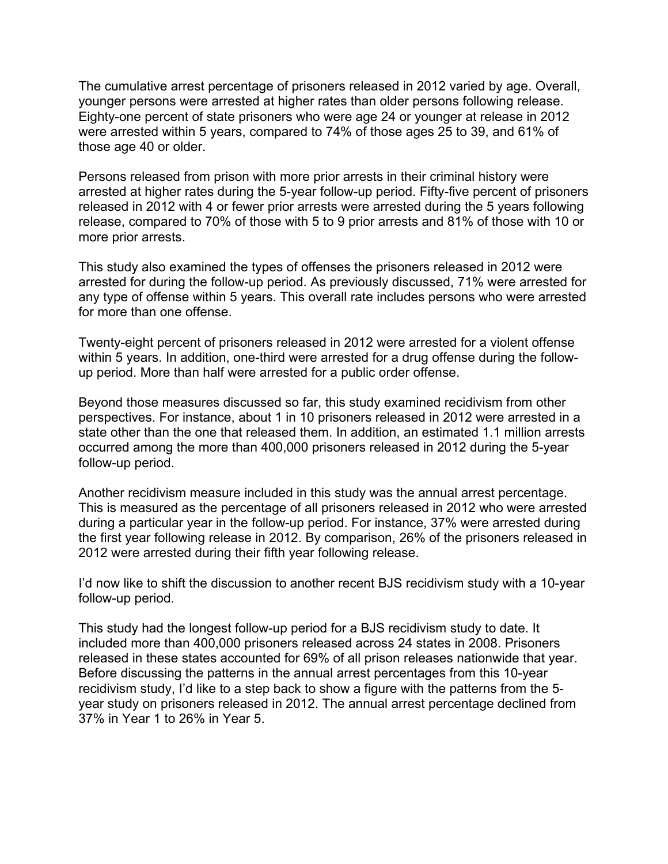The cumulative arrest percentage of prisoners released in 2012 varied by age. Overall, younger persons were arrested at higher rates than older persons following release. Eighty-one percent of state prisoners who were age 24 or younger at release in 2012 were arrested within 5 years, compared to 74% of those ages 25 to 39, and 61% of those age 40 or older.

Persons released from prison with more prior arrests in their criminal history were arrested at higher rates during the 5-year follow-up period. Fifty-five percent of prisoners released in 2012 with 4 or fewer prior arrests were arrested during the 5 years following release, compared to 70% of those with 5 to 9 prior arrests and 81% of those with 10 or more prior arrests.

This study also examined the types of offenses the prisoners released in 2012 were arrested for during the follow-up period. As previously discussed, 71% were arrested for any type of offense within 5 years. This overall rate includes persons who were arrested for more than one offense.

Twenty-eight percent of prisoners released in 2012 were arrested for a violent offense within 5 years. In addition, one-third were arrested for a drug offense during the followup period. More than half were arrested for a public order offense.

Beyond those measures discussed so far, this study examined recidivism from other perspectives. For instance, about 1 in 10 prisoners released in 2012 were arrested in a state other than the one that released them. In addition, an estimated 1.1 million arrests occurred among the more than 400,000 prisoners released in 2012 during the 5-year follow-up period.

Another recidivism measure included in this study was the annual arrest percentage. This is measured as the percentage of all prisoners released in 2012 who were arrested during a particular year in the follow-up period. For instance, 37% were arrested during the first year following release in 2012. By comparison, 26% of the prisoners released in 2012 were arrested during their fifth year following release.

I'd now like to shift the discussion to another recent BJS recidivism study with a 10-year follow-up period.

This study had the longest follow-up period for a BJS recidivism study to date. It included more than 400,000 prisoners released across 24 states in 2008. Prisoners released in these states accounted for 69% of all prison releases nationwide that year. Before discussing the patterns in the annual arrest percentages from this 10-year recidivism study, I'd like to a step back to show a figure with the patterns from the 5 year study on prisoners released in 2012. The annual arrest percentage declined from 37% in Year 1 to 26% in Year 5.